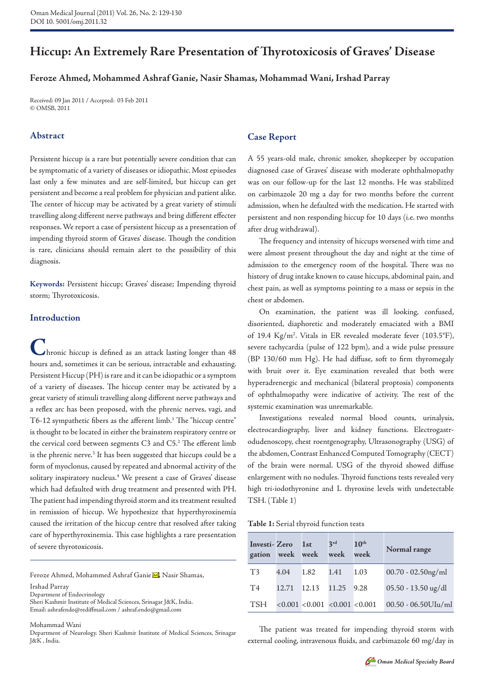# **Hiccup: An Extremely Rare Presentation of Thyrotoxicosis of Graves' Disease**

# **Feroze Ahmed, Mohammed Ashraf Ganie, Nasir Shamas, Mohammad Wani, Irshad Parray**

Received: 09 Jan 2011 / Accepted: 03 Feb 2011 © OMSB, 2011

## **Abstract**

Persistent hiccup is a rare but potentially severe condition that can be symptomatic of a variety of diseases or idiopathic. Most episodes last only a few minutes and are self-limited, but hiccup can get persistent and become a real problem for physician and patient alike. The center of hiccup may be activated by a great variety of stimuli travelling along different nerve pathways and bring different effecter responses. We report a case of persistent hiccup as a presentation of impending thyroid storm of Graves' disease. Though the condition is rare, clinicians should remain alert to the possibility of this diagnosis.

**Keywords:** Persistent hiccup; Graves' disease; Impending thyroid storm; Thyrotoxicosis.

# **Introduction**

**C**hronic hiccup is defined as an attack lasting longer than 48 hours and, sometimes it can be serious, intractable and exhausting. Persistent Hiccup (PH) is rare and it can be idiopathic or a symptom of a variety of diseases. The hiccup center may be activated by a great variety of stimuli travelling along different nerve pathways and a reflex arc has been proposed, with the phrenic nerves, vagi, and  $T6-12$  sympathetic fibers as the afferent limb.<sup>1</sup> The "hiccup centre" is thought to be located in either the brainstem respiratory centre or the cervical cord between segments C3 and  $C5<sup>2</sup>$  The efferent limb is the phrenic nerve.<sup>3</sup> It has been suggested that hiccups could be a form of myoclonus, caused by repeated and abnormal activity of the solitary inspiratory nucleus.4 We present a case of Graves' disease which had defaulted with drug treatment and presented with PH. The patient had impending thyroid storm and its treatment resulted in remission of hiccup. We hypothesize that hyperthyroxinemia caused the irritation of the hiccup centre that resolved after taking care of hyperthyroxinemia. This case highlights a rare presentation of severe thyrotoxicosis.

Feroze Ahmed, Mohammed Ashraf Ganie M, Nasir Shamas,

Irshad Parray

Department of Endocrinology

Sheri Kashmir Institute of Medical Sciences, Srinagar J&K, India. Email: ashrafendo@rediffmail.com / ashraf.endo@gmail.com

Mohammad Wani

Department of Neurology. Sheri Kashmir Institute of Medical Sciences, Srinagar J&K , India.

## **Case Report**

A 55 years-old male, chronic smoker, shopkeeper by occupation diagnosed case of Graves' disease with moderate ophthalmopathy was on our follow-up for the last 12 months. He was stabilized on carbimazole 20 mg a day for two months before the current admission, when he defaulted with the medication. He started with persistent and non responding hiccup for 10 days (i.e. two months after drug withdrawal).

The frequency and intensity of hiccups worsened with time and were almost present throughout the day and night at the time of admission to the emergency room of the hospital. There was no history of drug intake known to cause hiccups, abdominal pain, and chest pain, as well as symptoms pointing to a mass or sepsis in the chest or abdomen.

On examination, the patient was ill looking, confused, disoriented, diaphoretic and moderately emaciated with a BMI of 19.4 Kg/m2 . Vitals in ER revealed moderate fever (103.5°F), severe tachycardia (pulse of 122 bpm), and a wide pulse pressure (BP 130/60 mm Hg). He had diffuse, soft to firm thyromegaly with bruit over it. Eye examination revealed that both were hyperadrenergic and mechanical (bilateral proptosis) components of ophthalmopathy were indicative of activity. The rest of the systemic examination was unremarkable.

Investigations revealed normal blood counts, urinalysis, electrocardiography, liver and kidney functions. Electrogastrodudenoscopy, chest roentgenography, Ultrasonography (USG) of the abdomen, Contrast Enhanced Computed Tomography (CECT) of the brain were normal. USG of the thyroid showed diffuse enlargement with no nodules. Thyroid functions tests revealed very high tri-iodothyronine and L thyroxine levels with undetectable TSH. (Table 1)

| Table 1: Serial thyroid function tests |  |
|----------------------------------------|--|
|----------------------------------------|--|

| Investi-Zero<br>gation week week |       | 1 <sub>st</sub>                 | 3rd<br>week | 10 <sup>th</sup><br>week | Normal range           |
|----------------------------------|-------|---------------------------------|-------------|--------------------------|------------------------|
| T <sub>3</sub>                   | 4.04  | 1.82                            | 1.41        | 1.03                     | $00.70 - 02.50$ ng/ml  |
| T <sub>4</sub>                   | 12.71 | 12.13                           | 11.25       | 9.28                     | 05.50 - 13.50 ug/dl    |
| <b>TSH</b>                       |       | < 0.001 < 0.001 < 0.001 < 0.001 |             |                          | $00.50 - 06.50$ UIu/ml |

The patient was treated for impending thyroid storm with external cooling, intravenous fluids, and carbimazole 60 mg/day in